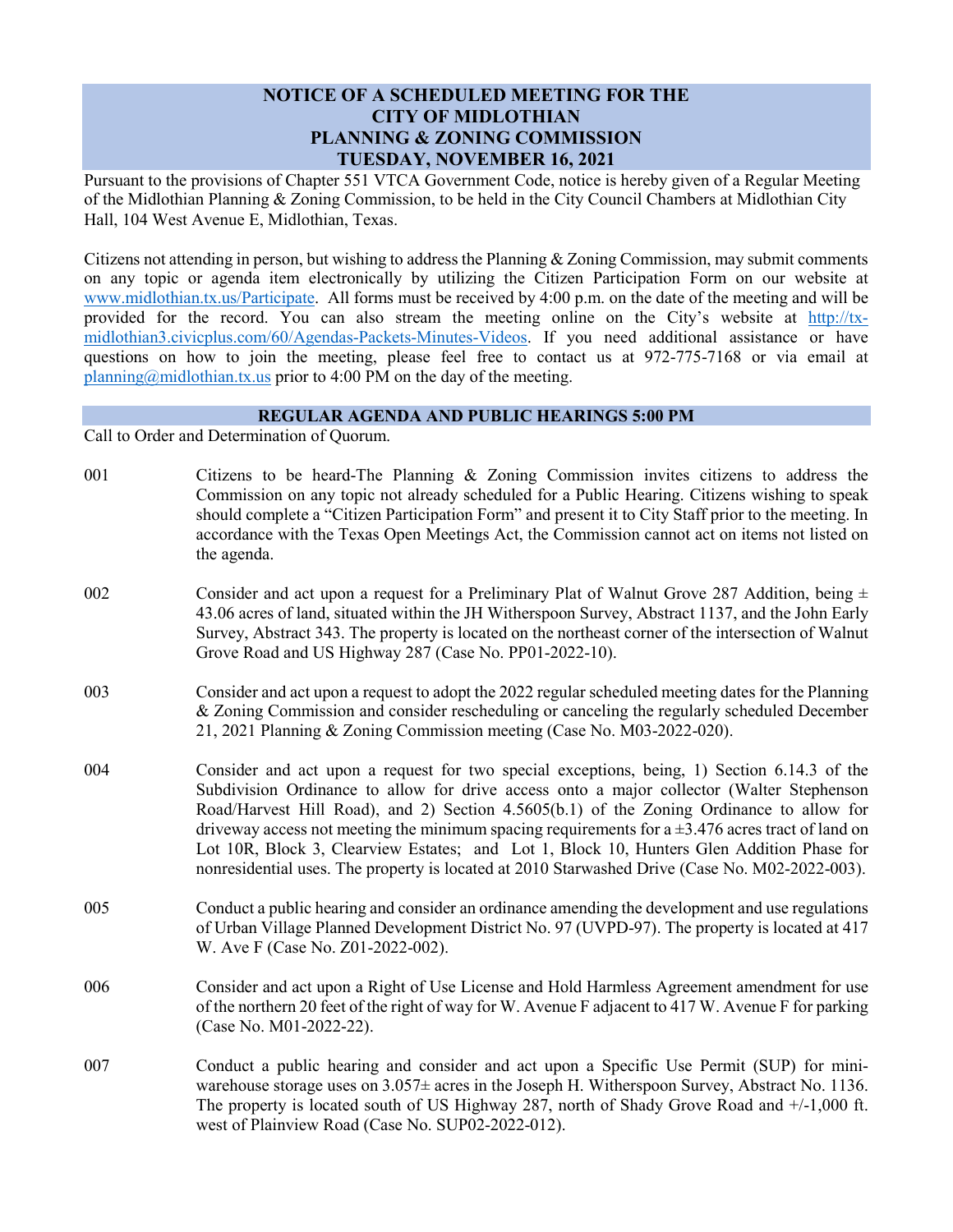## **NOTICE OF A SCHEDULED MEETING FOR THE CITY OF MIDLOTHIAN PLANNING & ZONING COMMISSION TUESDAY, NOVEMBER 16, 2021**

Pursuant to the provisions of Chapter 551 VTCA Government Code, notice is hereby given of a Regular Meeting of the Midlothian Planning & Zoning Commission, to be held in the City Council Chambers at Midlothian City Hall, 104 West Avenue E, Midlothian, Texas.

Citizens not attending in person, but wishing to address the Planning & Zoning Commission, may submit comments on any topic or agenda item electronically by utilizing the Citizen Participation Form on our website at [www.midlothian.tx.us/Participate.](http://www.midlothian.tx.us/Participate) All forms must be received by 4:00 p.m. on the date of the meeting and will be provided for the record. You can also stream the meeting online on the City's website at [http://tx](http://tx-midlothian3.civicplus.com/60/Agendas-Packets-Minutes-Videos)[midlothian3.civicplus.com/60/Agendas-Packets-Minutes-Videos.](http://tx-midlothian3.civicplus.com/60/Agendas-Packets-Minutes-Videos) If you need additional assistance or have questions on how to join the meeting, please feel free to contact us at 972-775-7168 or via email at [planning@midlothian.tx.us](mailto:planning@midlothian.tx.us) prior to 4:00 PM on the day of the meeting.

## **REGULAR AGENDA AND PUBLIC HEARINGS 5:00 PM**

Call to Order and Determination of Quorum.

- 001 Citizens to be heard-The Planning & Zoning Commission invites citizens to address the Commission on any topic not already scheduled for a Public Hearing. Citizens wishing to speak should complete a "Citizen Participation Form" and present it to City Staff prior to the meeting. In accordance with the Texas Open Meetings Act, the Commission cannot act on items not listed on the agenda.
- 002 Consider and act upon a request for a Preliminary Plat of Walnut Grove 287 Addition, being  $\pm$ 43.06 acres of land, situated within the JH Witherspoon Survey, Abstract 1137, and the John Early Survey, Abstract 343. The property is located on the northeast corner of the intersection of Walnut Grove Road and US Highway 287 (Case No. PP01-2022-10).
- 003 Consider and act upon a request to adopt the 2022 regular scheduled meeting dates for the Planning & Zoning Commission and consider rescheduling or canceling the regularly scheduled December 21, 2021 Planning & Zoning Commission meeting (Case No. M03-2022-020).
- 004 Consider and act upon a request for two special exceptions, being, 1) Section 6.14.3 of the Subdivision Ordinance to allow for drive access onto a major collector (Walter Stephenson Road/Harvest Hill Road), and 2) Section 4.5605(b.1) of the Zoning Ordinance to allow for driveway access not meeting the minimum spacing requirements for  $a \pm 3.476$  acres tract of land on Lot 10R, Block 3, Clearview Estates; and Lot 1, Block 10, Hunters Glen Addition Phase for nonresidential uses. The property is located at 2010 Starwashed Drive (Case No. M02-2022-003).
- 005 Conduct a public hearing and consider an ordinance amending the development and use regulations of Urban Village Planned Development District No. 97 (UVPD-97). The property is located at 417 W. Ave F (Case No. Z01-2022-002).
- 006 Consider and act upon a Right of Use License and Hold Harmless Agreement amendment for use of the northern 20 feet of the right of way for W. Avenue F adjacent to 417 W. Avenue F for parking (Case No. M01-2022-22).
- 007 Conduct a public hearing and consider and act upon a Specific Use Permit (SUP) for miniwarehouse storage uses on 3.057± acres in the Joseph H. Witherspoon Survey, Abstract No. 1136. The property is located south of US Highway 287, north of Shady Grove Road and +/-1,000 ft. west of Plainview Road (Case No. SUP02-2022-012).